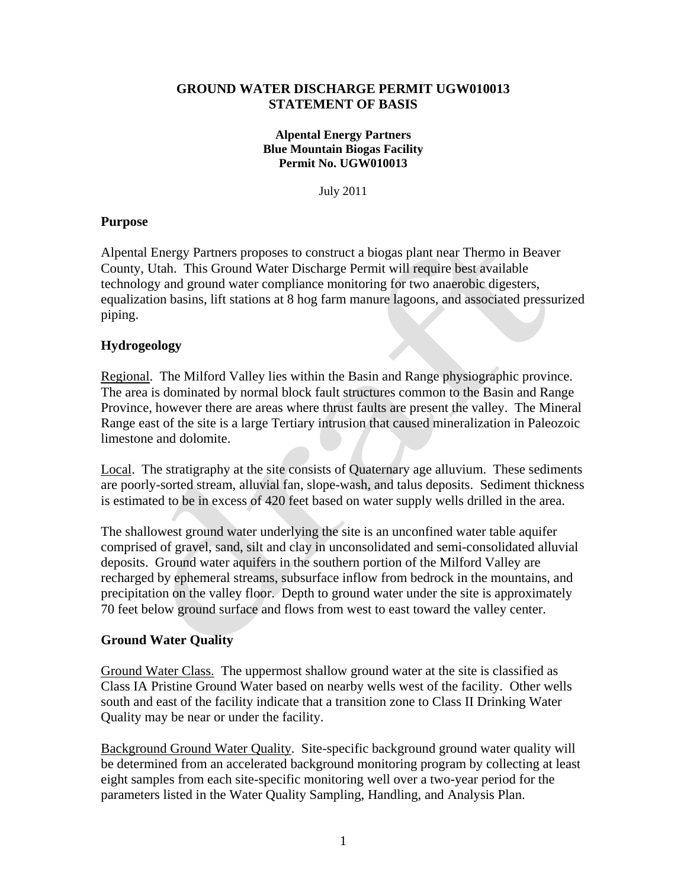## **GROUND WATER DISCHARGE PERMIT UGW010013 STATEMENT OF BASIS**

#### **Alpental Energy Partners Blue Mountain Biogas Facility Permit No. UGW010013**

July 2011

## **Purpose**

Alpental Energy Partners proposes to construct a biogas plant near Thermo in Beaver County, Utah. This Ground Water Discharge Permit will require best available technology and ground water compliance monitoring for two anaerobic digesters, equalization basins, lift stations at 8 hog farm manure lagoons, and associated pressurized piping.

# **Hydrogeology**

Regional. The Milford Valley lies within the Basin and Range physiographic province. The area is dominated by normal block fault structures common to the Basin and Range Province, however there are areas where thrust faults are present the valley. The Mineral Range east of the site is a large Tertiary intrusion that caused mineralization in Paleozoic limestone and dolomite.

Local. The stratigraphy at the site consists of Quaternary age alluvium. These sediments are poorly-sorted stream, alluvial fan, slope-wash, and talus deposits. Sediment thickness is estimated to be in excess of 420 feet based on water supply wells drilled in the area.

The shallowest ground water underlying the site is an unconfined water table aquifer comprised of gravel, sand, silt and clay in unconsolidated and semi-consolidated alluvial deposits. Ground water aquifers in the southern portion of the Milford Valley are recharged by ephemeral streams, subsurface inflow from bedrock in the mountains, and precipitation on the valley floor. Depth to ground water under the site is approximately 70 feet below ground surface and flows from west to east toward the valley center.

### **Ground Water Quality**

Ground Water Class.The uppermost shallow ground water at the site is classified as Class IA Pristine Ground Water based on nearby wells west of the facility. Other wells south and east of the facility indicate that a transition zone to Class II Drinking Water Quality may be near or under the facility.

Background Ground Water Quality. Site-specific background ground water quality will be determined from an accelerated background monitoring program by collecting at least eight samples from each site-specific monitoring well over a two-year period for the parameters listed in the Water Quality Sampling, Handling, and Analysis Plan.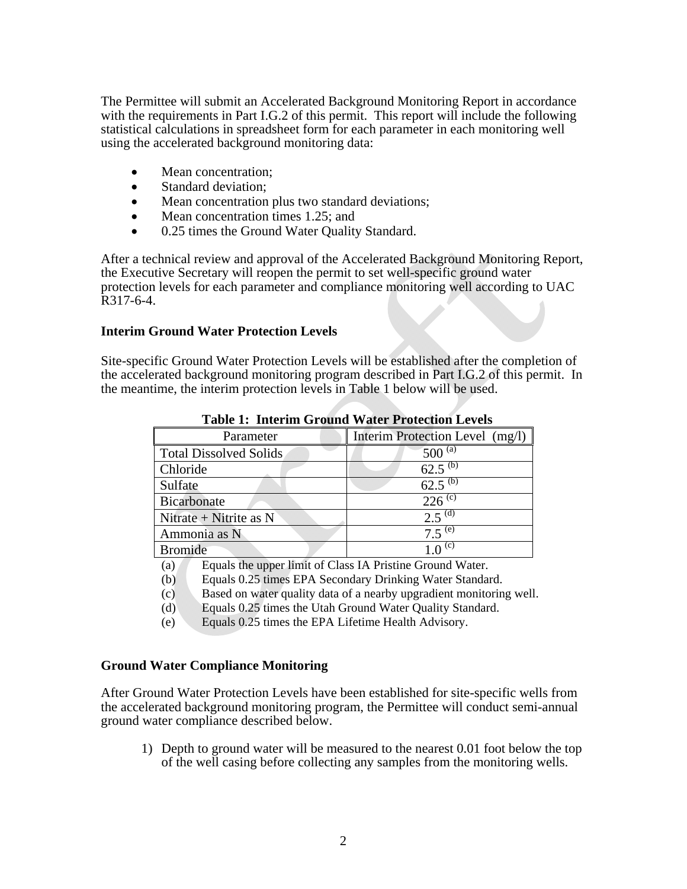The Permittee will submit an Accelerated Background Monitoring Report in accordance with the requirements in Part I.G.2 of this permit. This report will include the following statistical calculations in spreadsheet form for each parameter in each monitoring well using the accelerated background monitoring data:

- Mean concentration:
- Standard deviation:
- Mean concentration plus two standard deviations;
- Mean concentration times 1.25; and
- 0.25 times the Ground Water Quality Standard.

After a technical review and approval of the Accelerated Background Monitoring Report, the Executive Secretary will reopen the permit to set well-specific ground water protection levels for each parameter and compliance monitoring well according to UAC R317-6-4.

#### **Interim Ground Water Protection Levels**

Site-specific Ground Water Protection Levels will be established after the completion of the accelerated background monitoring program described in Part I.G.2 of this permit. In the meantime, the interim protection levels in Table 1 below will be used.

| Parameter                     | Interim Protection Level (mg/l) |
|-------------------------------|---------------------------------|
| <b>Total Dissolved Solids</b> | $500^{(a)}$                     |
| Chloride                      |                                 |
| Sulfate                       | $62.5^{(b)}$                    |
| Bicarbonate                   | $226^{(c)}$                     |
| Nitrate + Nitrite as $N$      | $2.5^{(d)}$                     |
| Ammonia as N                  | $7.5^{(e)}$                     |
| <b>Bromide</b>                |                                 |

**Table 1: Interim Ground Water Protection Levels** 

(a) Equals the upper limit of Class IA Pristine Ground Water.

- (b) Equals 0.25 times EPA Secondary Drinking Water Standard.
- (c) Based on water quality data of a nearby upgradient monitoring well.
- (d) Equals 0.25 times the Utah Ground Water Quality Standard.
- (e) Equals 0.25 times the EPA Lifetime Health Advisory.

#### **Ground Water Compliance Monitoring**

After Ground Water Protection Levels have been established for site-specific wells from the accelerated background monitoring program, the Permittee will conduct semi-annual ground water compliance described below.

1) Depth to ground water will be measured to the nearest 0.01 foot below the top of the well casing before collecting any samples from the monitoring wells.